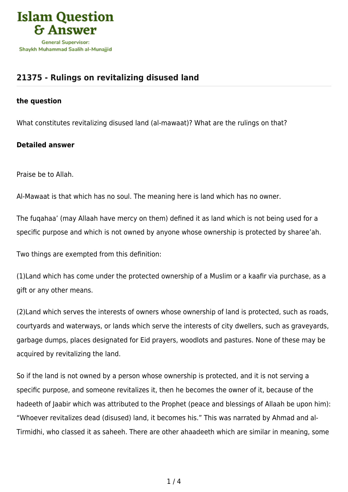

## **[21375 - Rulings on revitalizing disused land](https://islamqa.com/en/answers/21375/rulings-on-revitalizing-disused-land)**

## **the question**

What constitutes revitalizing disused land (al-mawaat)? What are the rulings on that?

## **Detailed answer**

Praise be to Allah.

Al-Mawaat is that which has no soul. The meaning here is land which has no owner.

The fuqahaa' (may Allaah have mercy on them) defined it as land which is not being used for a specific purpose and which is not owned by anyone whose ownership is protected by sharee'ah.

Two things are exempted from this definition:

(1)Land which has come under the protected ownership of a Muslim or a kaafir via purchase, as a gift or any other means.

(2)Land which serves the interests of owners whose ownership of land is protected, such as roads, courtyards and waterways, or lands which serve the interests of city dwellers, such as graveyards, garbage dumps, places designated for Eid prayers, woodlots and pastures. None of these may be acquired by revitalizing the land.

So if the land is not owned by a person whose ownership is protected, and it is not serving a specific purpose, and someone revitalizes it, then he becomes the owner of it, because of the hadeeth of Jaabir which was attributed to the Prophet (peace and blessings of Allaah be upon him): "Whoever revitalizes dead (disused) land, it becomes his." This was narrated by Ahmad and al-Tirmidhi, who classed it as saheeh. There are other ahaadeeth which are similar in meaning, some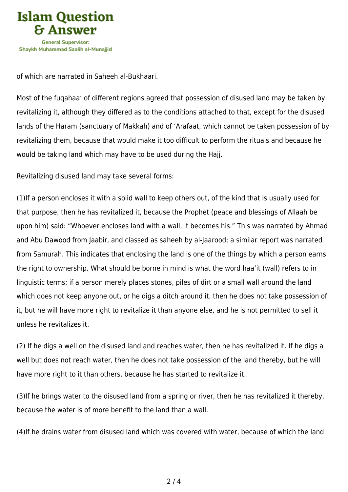

of which are narrated in Saheeh al-Bukhaari.

Most of the fuqahaa' of different regions agreed that possession of disused land may be taken by revitalizing it, although they differed as to the conditions attached to that, except for the disused lands of the Haram (sanctuary of Makkah) and of 'Arafaat, which cannot be taken possession of by revitalizing them, because that would make it too difficult to perform the rituals and because he would be taking land which may have to be used during the Hajj.

Revitalizing disused land may take several forms:

(1)If a person encloses it with a solid wall to keep others out, of the kind that is usually used for that purpose, then he has revitalized it, because the Prophet (peace and blessings of Allaah be upon him) said: "Whoever encloses land with a wall, it becomes his." This was narrated by Ahmad and Abu Dawood from Jaabir, and classed as saheeh by al-Jaarood; a similar report was narrated from Samurah. This indicates that enclosing the land is one of the things by which a person earns the right to ownership. What should be borne in mind is what the word haa'it (wall) refers to in linguistic terms; if a person merely places stones, piles of dirt or a small wall around the land which does not keep anyone out, or he digs a ditch around it, then he does not take possession of it, but he will have more right to revitalize it than anyone else, and he is not permitted to sell it unless he revitalizes it.

(2) If he digs a well on the disused land and reaches water, then he has revitalized it. If he digs a well but does not reach water, then he does not take possession of the land thereby, but he will have more right to it than others, because he has started to revitalize it.

(3)If he brings water to the disused land from a spring or river, then he has revitalized it thereby, because the water is of more benefit to the land than a wall.

(4)If he drains water from disused land which was covered with water, because of which the land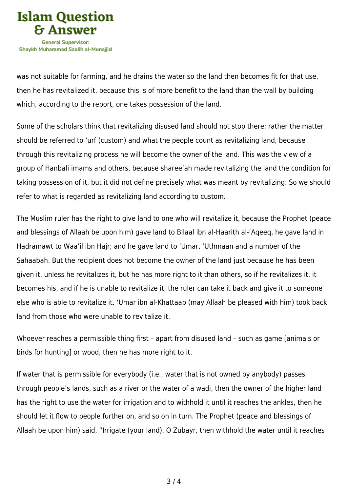

was not suitable for farming, and he drains the water so the land then becomes fit for that use, then he has revitalized it, because this is of more benefit to the land than the wall by building which, according to the report, one takes possession of the land.

Some of the scholars think that revitalizing disused land should not stop there; rather the matter should be referred to 'urf (custom) and what the people count as revitalizing land, because through this revitalizing process he will become the owner of the land. This was the view of a group of Hanbali imams and others, because sharee'ah made revitalizing the land the condition for taking possession of it, but it did not define precisely what was meant by revitalizing. So we should refer to what is regarded as revitalizing land according to custom.

The Muslim ruler has the right to give land to one who will revitalize it, because the Prophet (peace and blessings of Allaah be upon him) gave land to Bilaal ibn al-Haarith al-'Aqeeq, he gave land in Hadramawt to Waa'il ibn Hajr; and he gave land to 'Umar, 'Uthmaan and a number of the Sahaabah. But the recipient does not become the owner of the land just because he has been given it, unless he revitalizes it, but he has more right to it than others, so if he revitalizes it, it becomes his, and if he is unable to revitalize it, the ruler can take it back and give it to someone else who is able to revitalize it. 'Umar ibn al-Khattaab (may Allaah be pleased with him) took back land from those who were unable to revitalize it.

Whoever reaches a permissible thing first – apart from disused land – such as game [animals or birds for hunting] or wood, then he has more right to it.

If water that is permissible for everybody (i.e., water that is not owned by anybody) passes through people's lands, such as a river or the water of a wadi, then the owner of the higher land has the right to use the water for irrigation and to withhold it until it reaches the ankles, then he should let it flow to people further on, and so on in turn. The Prophet (peace and blessings of Allaah be upon him) said, "Irrigate (your land), O Zubayr, then withhold the water until it reaches